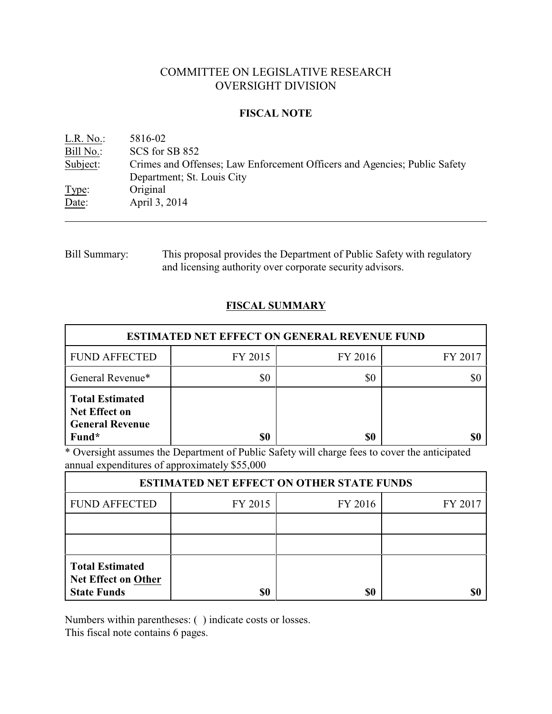# COMMITTEE ON LEGISLATIVE RESEARCH OVERSIGHT DIVISION

## **FISCAL NOTE**

| L.R. No.  | 5816-02                                                                   |
|-----------|---------------------------------------------------------------------------|
| Bill No.: | SCS for SB 852                                                            |
| Subject:  | Crimes and Offenses; Law Enforcement Officers and Agencies; Public Safety |
|           | Department; St. Louis City                                                |
| Type:     | Original                                                                  |
| Date:     | April 3, 2014                                                             |
|           |                                                                           |

Bill Summary: This proposal provides the Department of Public Safety with regulatory and licensing authority over corporate security advisors.

# **FISCAL SUMMARY**

| <b>ESTIMATED NET EFFECT ON GENERAL REVENUE FUND</b>                               |         |         |         |  |  |
|-----------------------------------------------------------------------------------|---------|---------|---------|--|--|
| <b>FUND AFFECTED</b>                                                              | FY 2015 | FY 2016 | FY 2017 |  |  |
| General Revenue*                                                                  | \$0     | \$0     |         |  |  |
| <b>Total Estimated</b><br><b>Net Effect on</b><br><b>General Revenue</b><br>Fund* | \$0     | \$0     |         |  |  |

\* Oversight assumes the Department of Public Safety will charge fees to cover the anticipated annual expenditures of approximately \$55,000

| <b>ESTIMATED NET EFFECT ON OTHER STATE FUNDS</b>                           |         |         |         |  |  |
|----------------------------------------------------------------------------|---------|---------|---------|--|--|
| <b>FUND AFFECTED</b>                                                       | FY 2015 | FY 2016 | FY 2017 |  |  |
|                                                                            |         |         |         |  |  |
|                                                                            |         |         |         |  |  |
| <b>Total Estimated</b><br><b>Net Effect on Other</b><br><b>State Funds</b> | \$0     | \$0     |         |  |  |

Numbers within parentheses: ( ) indicate costs or losses.

This fiscal note contains 6 pages.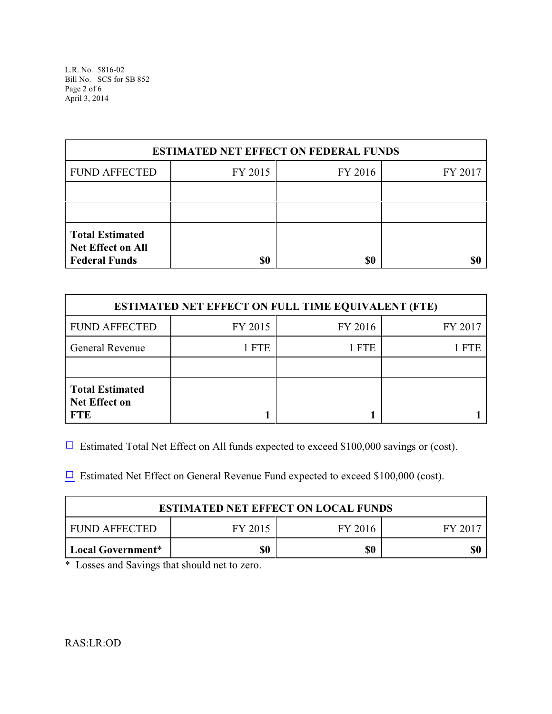L.R. No. 5816-02 Bill No. SCS for SB 852 Page 2 of 6 April 3, 2014

| <b>ESTIMATED NET EFFECT ON FEDERAL FUNDS</b>                                      |         |         |         |  |  |
|-----------------------------------------------------------------------------------|---------|---------|---------|--|--|
| <b>FUND AFFECTED</b>                                                              | FY 2015 | FY 2016 | FY 2017 |  |  |
|                                                                                   |         |         |         |  |  |
|                                                                                   |         |         |         |  |  |
| <b>Total Estimated</b><br>Net Effect on All<br><b>Federal Funds</b><br>\$0<br>\$0 |         |         |         |  |  |

| <b>ESTIMATED NET EFFECT ON FULL TIME EQUIVALENT (FTE)</b>    |         |         |            |  |  |
|--------------------------------------------------------------|---------|---------|------------|--|--|
| <b>FUND AFFECTED</b>                                         | FY 2015 | FY 2016 | FY 2017    |  |  |
| <b>General Revenue</b>                                       | 1 FTE   | 1 FTE   | <b>FTE</b> |  |  |
|                                                              |         |         |            |  |  |
| <b>Total Estimated</b><br><b>Net Effect on</b><br><b>FTE</b> |         |         |            |  |  |

 $\Box$  Estimated Total Net Effect on All funds expected to exceed \$100,000 savings or (cost).

 $\Box$  Estimated Net Effect on General Revenue Fund expected to exceed \$100,000 (cost).

| <b>ESTIMATED NET EFFECT ON LOCAL FUNDS</b>    |  |  |  |  |  |
|-----------------------------------------------|--|--|--|--|--|
| FUND AFFECTED<br>FY 2015<br>FY 2016<br>EV 201 |  |  |  |  |  |
| \$0<br>\$0<br>Local Government*               |  |  |  |  |  |

\* Losses and Savings that should net to zero.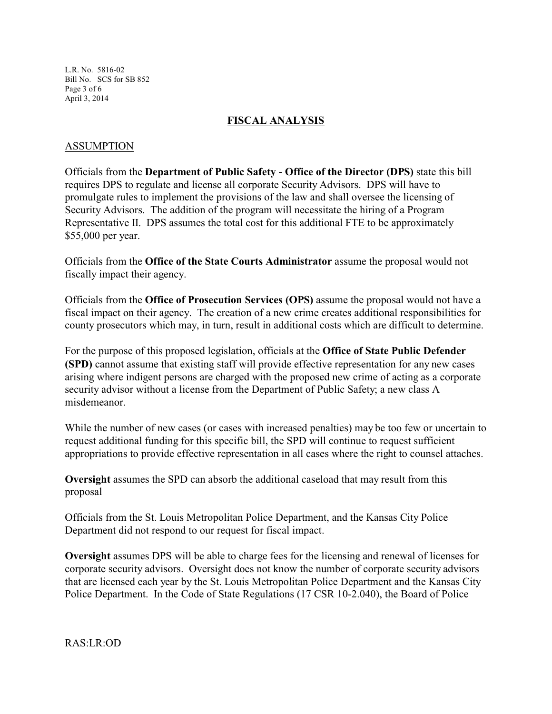L.R. No. 5816-02 Bill No. SCS for SB 852 Page 3 of 6 April 3, 2014

## **FISCAL ANALYSIS**

### ASSUMPTION

Officials from the **Department of Public Safety - Office of the Director (DPS)** state this bill requires DPS to regulate and license all corporate Security Advisors. DPS will have to promulgate rules to implement the provisions of the law and shall oversee the licensing of Security Advisors. The addition of the program will necessitate the hiring of a Program Representative II. DPS assumes the total cost for this additional FTE to be approximately \$55,000 per year.

Officials from the **Office of the State Courts Administrator** assume the proposal would not fiscally impact their agency.

Officials from the **Office of Prosecution Services (OPS)** assume the proposal would not have a fiscal impact on their agency. The creation of a new crime creates additional responsibilities for county prosecutors which may, in turn, result in additional costs which are difficult to determine.

For the purpose of this proposed legislation, officials at the **Office of State Public Defender (SPD)** cannot assume that existing staff will provide effective representation for any new cases arising where indigent persons are charged with the proposed new crime of acting as a corporate security advisor without a license from the Department of Public Safety; a new class A misdemeanor.

While the number of new cases (or cases with increased penalties) may be too few or uncertain to request additional funding for this specific bill, the SPD will continue to request sufficient appropriations to provide effective representation in all cases where the right to counsel attaches.

**Oversight** assumes the SPD can absorb the additional caseload that may result from this proposal

Officials from the St. Louis Metropolitan Police Department, and the Kansas City Police Department did not respond to our request for fiscal impact.

**Oversight** assumes DPS will be able to charge fees for the licensing and renewal of licenses for corporate security advisors. Oversight does not know the number of corporate security advisors that are licensed each year by the St. Louis Metropolitan Police Department and the Kansas City Police Department. In the Code of State Regulations (17 CSR 10-2.040), the Board of Police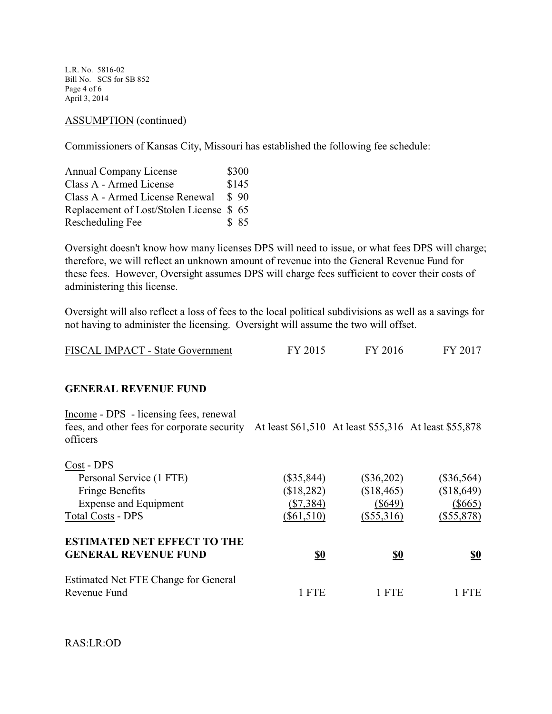L.R. No. 5816-02 Bill No. SCS for SB 852 Page 4 of 6 April 3, 2014

#### ASSUMPTION (continued)

Commissioners of Kansas City, Missouri has established the following fee schedule:

| <b>Annual Company License</b>           | \$300 |
|-----------------------------------------|-------|
| Class A - Armed License                 | \$145 |
| Class A - Armed License Renewal         | \$90  |
| Replacement of Lost/Stolen License \$65 |       |
| Rescheduling Fee                        | \$85  |

Oversight doesn't know how many licenses DPS will need to issue, or what fees DPS will charge; therefore, we will reflect an unknown amount of revenue into the General Revenue Fund for these fees. However, Oversight assumes DPS will charge fees sufficient to cover their costs of administering this license.

Oversight will also reflect a loss of fees to the local political subdivisions as well as a savings for not having to administer the licensing. Oversight will assume the two will offset.

| FISCAL IMPACT - State Government | FY 2015 | FY 2016 | FY 2017 |
|----------------------------------|---------|---------|---------|
|----------------------------------|---------|---------|---------|

#### **GENERAL REVENUE FUND**

Income - DPS - licensing fees, renewal fees, and other fees for corporate security At least \$61,510 At least \$55,316 At least \$55,878 officers

| $(\$35,844)$ | $(\$36,202)$ | $(\$36,564)$ |
|--------------|--------------|--------------|
| (\$18,282)   | (\$18,465)   | (\$18,649)   |
| $(\$7,384)$  | $(\$649)$    | $(\$665)$    |
| $(\$61,510)$ | $(\$55,316)$ | $(\$55,878)$ |
|              |              |              |
| <u>\$0</u>   | <u>\$0</u>   | <u>\$0</u>   |
|              |              |              |
| <b>FTE</b>   | 1 FTE        | <b>FTE</b>   |
|              |              |              |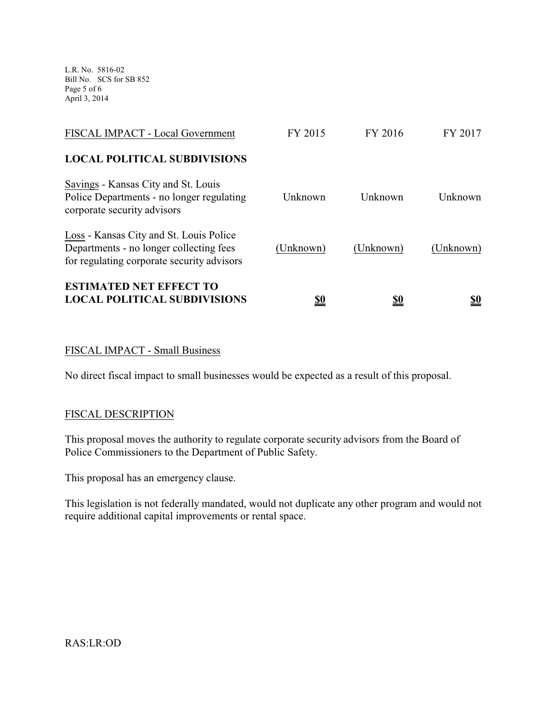L.R. No. 5816-02 Bill No. SCS for SB 852 Page 5 of 6 April 3, 2014

| <b>ESTIMATED NET EFFECT TO</b><br><b>LOCAL POLITICAL SUBDIVISIONS</b>                                                            | <u>\$0</u> | <u>\$0</u> | <u>\$0</u> |
|----------------------------------------------------------------------------------------------------------------------------------|------------|------------|------------|
| Loss - Kansas City and St. Louis Police<br>Departments - no longer collecting fees<br>for regulating corporate security advisors | (Unknown)  | (Unknown)  | (Unknown)  |
| Savings - Kansas City and St. Louis<br>Police Departments - no longer regulating<br>corporate security advisors                  | Unknown    | Unknown    | Unknown    |
| <b>LOCAL POLITICAL SUBDIVISIONS</b>                                                                                              |            |            |            |
| FISCAL IMPACT - Local Government                                                                                                 | FY 2015    | FY 2016    | FY 2017    |

## FISCAL IMPACT - Small Business

No direct fiscal impact to small businesses would be expected as a result of this proposal.

### FISCAL DESCRIPTION

This proposal moves the authority to regulate corporate security advisors from the Board of Police Commissioners to the Department of Public Safety.

This proposal has an emergency clause.

This legislation is not federally mandated, would not duplicate any other program and would not require additional capital improvements or rental space.